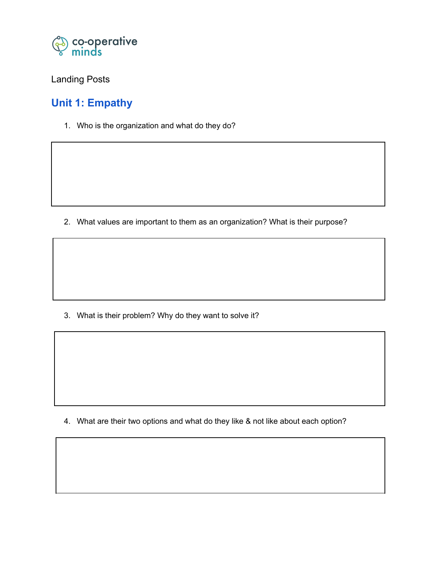

### Landing Posts

# **Unit 1: Empathy**

1. Who is the organization and what do they do?

2. What values are important to them as an organization? What is their purpose?

3. What is their problem? Why do they want to solve it?

4. What are their two options and what do they like & not like about each option?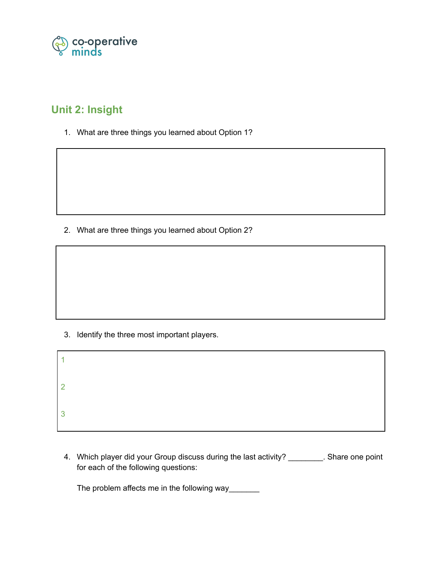

## **Unit 2: Insight**

1. What are three things you learned about Option 1?

2. What are three things you learned about Option 2?

3. Identify the three most important players.

| $\overline{2}$ |  |  |  |
|----------------|--|--|--|
| 3              |  |  |  |

4. Which player did your Group discuss during the last activity? \_\_\_\_\_\_\_\_. Share one point for each of the following questions:

The problem affects me in the following way\_\_\_\_\_\_\_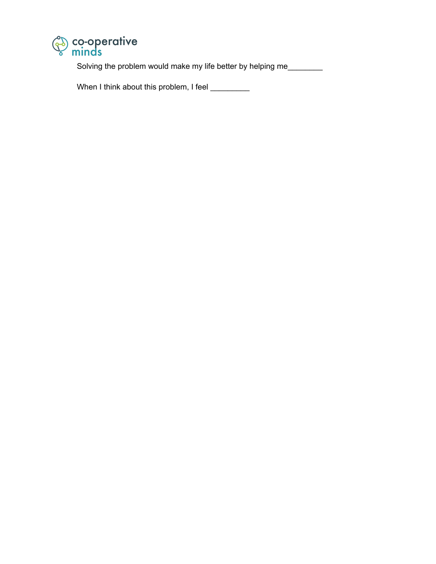

Solving the problem would make my life better by helping me\_\_\_\_\_\_\_\_

When I think about this problem, I feel \_\_\_\_\_\_\_\_\_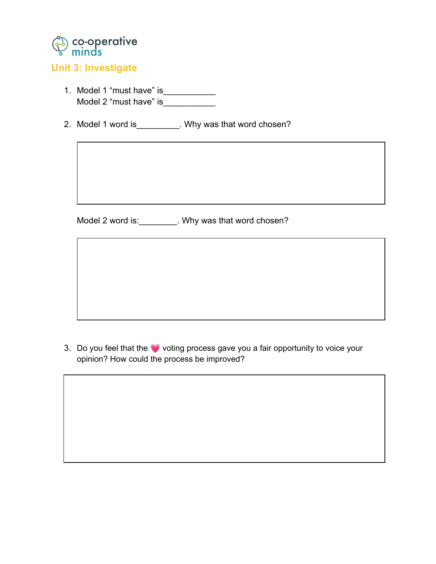

### **Unit 3: Investigate**

- 1. Model 1 "must have" is \_\_\_\_\_\_\_\_\_\_\_\_\_\_\_ Model 2 "must have" is\_\_\_\_\_\_\_\_\_\_\_\_
- 2. Model 1 word is\_\_\_\_\_\_\_\_\_\_. Why was that word chosen?

Model 2 word is: \_\_\_\_\_\_\_\_\_. Why was that word chosen?

3. Do you feel that the **O** voting process gave you a fair opportunity to voice your opinion? How could the process be improved?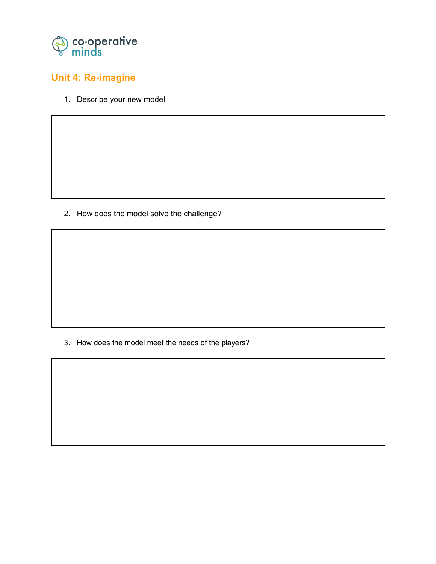

## **Unit 4: Re-imagine**

1. Describe your new model

2. How does the model solve the challenge?

3. How does the model meet the needs of the players?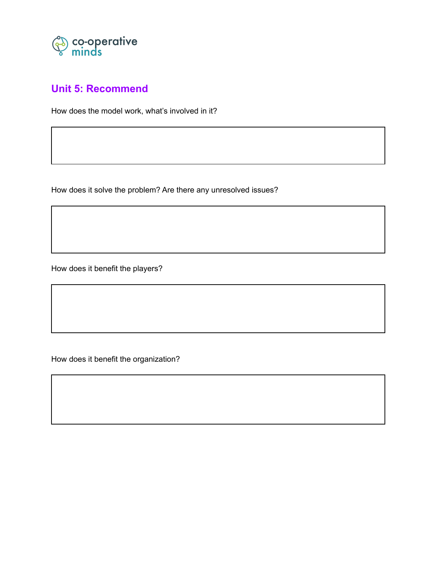

### **Unit 5: Recommend**

How does the model work, what's involved in it?

How does it solve the problem? Are there any unresolved issues?

How does it benefit the players?

How does it benefit the organization?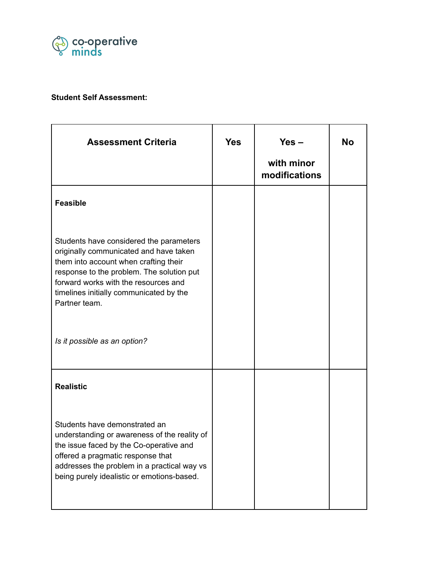

#### **Student Self Assessment:**

| <b>Assessment Criteria</b>                                                                                                                                                                                                                                                                                  | <b>Yes</b> | $Yes -$<br>with minor<br>modifications | <b>No</b> |
|-------------------------------------------------------------------------------------------------------------------------------------------------------------------------------------------------------------------------------------------------------------------------------------------------------------|------------|----------------------------------------|-----------|
| <b>Feasible</b>                                                                                                                                                                                                                                                                                             |            |                                        |           |
| Students have considered the parameters<br>originally communicated and have taken<br>them into account when crafting their<br>response to the problem. The solution put<br>forward works with the resources and<br>timelines initially communicated by the<br>Partner team.<br>Is it possible as an option? |            |                                        |           |
| <b>Realistic</b>                                                                                                                                                                                                                                                                                            |            |                                        |           |
| Students have demonstrated an<br>understanding or awareness of the reality of<br>the issue faced by the Co-operative and<br>offered a pragmatic response that<br>addresses the problem in a practical way vs<br>being purely idealistic or emotions-based.                                                  |            |                                        |           |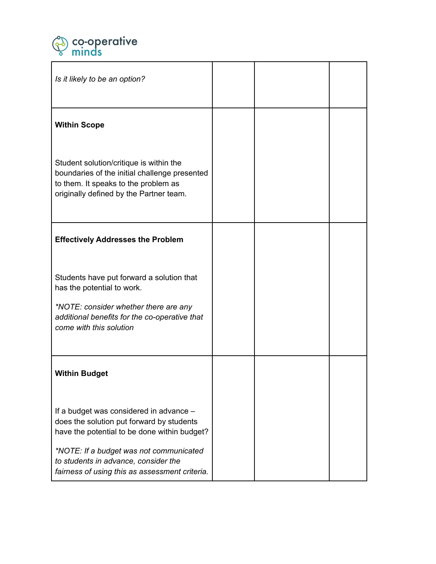

| Is it likely to be an option?                                                                                                                                               |  |  |
|-----------------------------------------------------------------------------------------------------------------------------------------------------------------------------|--|--|
| <b>Within Scope</b>                                                                                                                                                         |  |  |
| Student solution/critique is within the<br>boundaries of the initial challenge presented<br>to them. It speaks to the problem as<br>originally defined by the Partner team. |  |  |
| <b>Effectively Addresses the Problem</b>                                                                                                                                    |  |  |
| Students have put forward a solution that<br>has the potential to work.                                                                                                     |  |  |
| *NOTE: consider whether there are any<br>additional benefits for the co-operative that<br>come with this solution                                                           |  |  |
| <b>Within Budget</b>                                                                                                                                                        |  |  |
| If a budget was considered in advance -<br>does the solution put forward by students<br>have the potential to be done within budget?                                        |  |  |
| *NOTE: If a budget was not communicated<br>to students in advance, consider the<br>fairness of using this as assessment criteria.                                           |  |  |